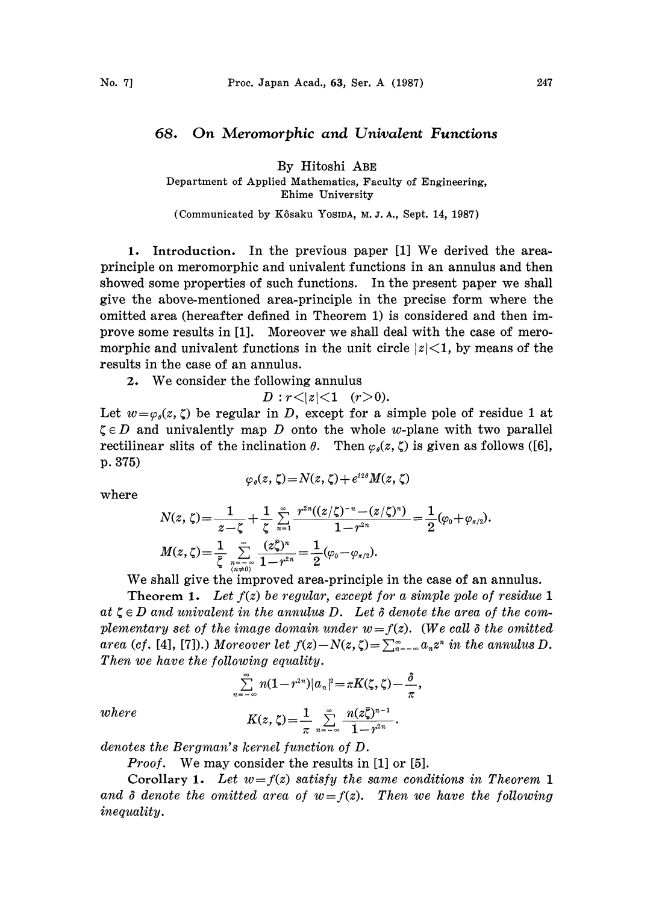## 68. On Meromorphic and Univalent Functions

By Hitoshi ABE

Department of Applied Mathematics, Faculty of Engineering, Ehime University

(Communicated by Kôsaku Yosipa, M.J.A., Sept. 14, 1987)

1. Introduction. In the previous paper [1] We derived the areaprinciple on meromorphic and univalent functions in an annulus and then showed some properties of such functions. In the present paper we shall give the above-mentioned area-principle in the precise form where the omitted area (hereafter defined in Theorem 1) is considered and then improve some results in [1]. Moreover we shall deal with the case of meromorphic and univalent functions in the unit circle  $|z|<1$ , by means of the results in the case of an annulus.

2. We consider the following annulus

 $D : r < |z| < 1$  (r>0).

Let  $w=\varphi_0(z, \zeta)$  be regular in D, except for a simple pole of residue 1 at  $\zeta \in D$  and univalently map D onto the whole w-plane with two parallel rectilinear slits of the inclination  $\theta$ . Then  $\varphi_{\theta}(z, \zeta)$  is given as follows ([6], p. 375)

$$
\varphi_{\theta}(z,\,\zeta) = N(z,\,\zeta) + e^{iz\theta} M(z,\,\zeta)
$$

where

$$
N(z,\,\zeta)\!=\!\frac{1}{z\!-\!\zeta}\!+\!\frac{1}{\zeta}\sum\limits_{n=1}^{\infty}\frac{r^{2n}((z/\zeta)^{-n}\!-\!(z/\zeta)^{n})}{1\!-\!r^{2n}}\!=\!\frac{1}{2}(\!\varphi_0\!+\!\varphi_{\pi/2}).\\M(z,\,\zeta)\!=\!\frac{1}{\bar{\zeta}}\sum\limits_{n=-\infty\atop (n\neq 0)}^{\infty}\!\frac{(z\bar{\zeta})^{n}}{1\!-\!r^{2n}}\!=\!\frac{1}{2}(\!\varphi_0\!-\!\varphi_{\pi/2}).
$$

We shall give the improved area-principle in the case of an annulus.

**Theorem 1.** Let  $f(z)$  be regular, except for a simple pole of residue 1 at  $\zeta \in D$  and univalent in the annulus D. Let  $\delta$  denote the area of the complementary set of the image domain under  $w = f(z)$ . (We call  $\delta$  the omitted area (cf. [4], [7]).) Moreover let  $f(z) - N(z, \zeta) = \sum_{n=-\infty}^{\infty} a_n z^n$  in the annulus D. Then we have the following equality.

$$
\sum_{n=-\infty}^{\infty} n(1-r^{2n})|a_n|^2 = \pi K(\zeta,\zeta) - \frac{\delta}{\pi},
$$

where 
$$
K(z, \zeta) = \frac{1}{\pi} \sum_{n=-\infty}^{\infty} \frac{n(z\overline{\zeta})^{n-1}}{1 - r^{2n}}.
$$

denotes the Bergman's kernel function of D.

Proof. We may consider the results in [1] or [5].

Corollary 1. Let  $w = f(z)$  satisfy the same conditions in Theorem 1 and  $\delta$  denote the omitted area of  $w = f(z)$ . Then we have the following inequality.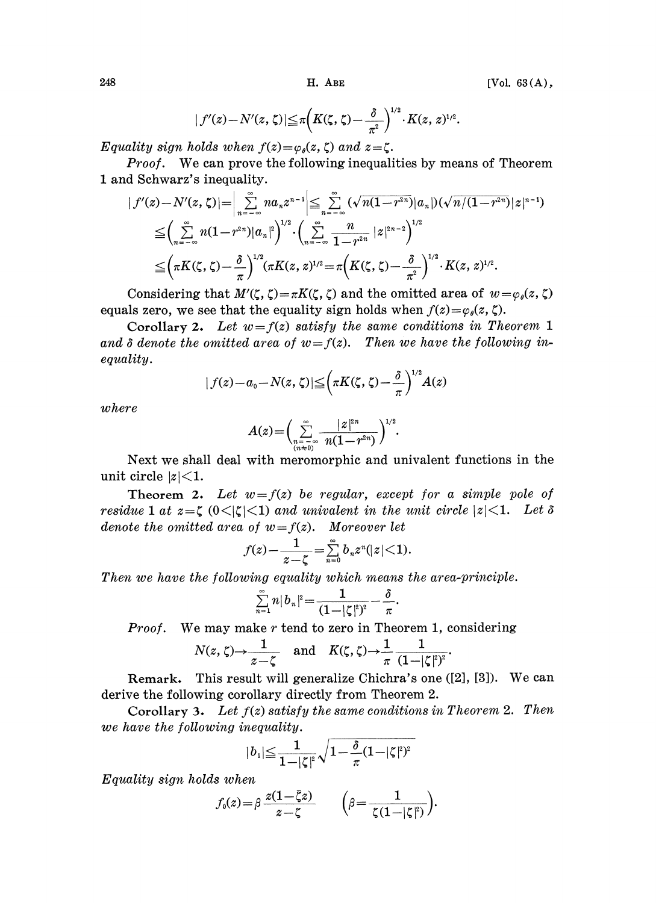$$
|f'(z)-N'(z,\zeta)|\leq \pi \Big(K(\zeta,\zeta)-\frac{\delta}{\pi^2}\Big)^{1/2}\cdot K(z,\,z)^{1/2}.
$$

Equality sign holds when  $f(z) = \varphi_{\theta}(z, \zeta)$  and  $z = \zeta$ .

**Proof.** We can prove the following inequalities by means of Theorem 1 and Schwarz's inequality.

$$
\begin{split} |f'(z)-N'(z,\zeta)|&= \Big|\sum_{n=-\infty}^{\infty} n a_n z^{n-1}\Big| \leq \sum_{n=-\infty}^{\infty} (\sqrt{n(1-r^{2n})}|a_n|) (\sqrt{n/(1-r^{2n})}|z|^{n-1}) \\ &\leq \Big(\sum_{n=-\infty}^{\infty} n(1-r^{2n})|a_n|^2\Big)^{1/2} \cdot \Big(\sum_{n=-\infty}^{\infty} \frac{n}{1-r^{2n}}|z|^{2n-2}\Big)^{1/2} \\ &\leq \Big(\pi K(\zeta,\zeta)-\frac{\delta}{\pi}\Big)^{1/2} (\pi K(z,z)^{1/2} = \pi \Big(K(\zeta,\zeta)-\frac{\delta}{\pi^2}\Big)^{1/2} \cdot K(z,z)^{1/2} .\end{split}
$$

Considering that  $M'(\zeta, \zeta) = \pi K(\zeta, \zeta)$  and the omitted area of  $w = \varphi_{\theta}(z, \zeta)$ equals zero, we see that the equality sign holds when  $f(z) = \varphi_{\theta}(z, \zeta)$ .

Corollary 2. Let  $w = f(z)$  satisfy the same conditions in Theorem 1 and  $\delta$  denote the omitted area of  $w=f(z)$ . Then we have the following inequality.

$$
|f(z)-a_0-N(z,\zeta)| \leq \left(\pi K(\zeta,\zeta)-\frac{\delta}{\pi}\right)^{1/2}A(z)
$$

where

$$
A(z) = \left(\sum_{\substack{n=-\infty\\(n\neq 0)}}^{\infty} \frac{|z|^{2n}}{n(1-r^{2n})}\right)^{1/2}.
$$

Next we shall deal with meromorphic and univalent functions in the unit circle  $|z|$  < 1.

Theorem 2. Let  $w=f(z)$  be regular, except for a simple pole of residue 1 at  $z = \zeta$  (0 $\lt |\zeta| \lt 1$ ) and univalent in the unit circle  $|z| \lt 1$ . Let  $\delta$ denote the omitted area of  $w=f(z)$ . Moreover let

$$
f(z) - \frac{1}{z-\zeta} = \sum_{n=0}^{\infty} b_n z^n (|z| < 1).
$$

Then we have the following equality which means the area-principle.

$$
\sum_{n=1}^{\infty} n |b_n|^2 = \frac{1}{(1-|\zeta|^2)^2} - \frac{\delta}{\pi}.
$$

**Proof.** We may make r tend to zero in Theorem 1, considering

$$
N(z,\zeta) \to \frac{1}{z-\zeta} \quad \text{and} \quad K(\zeta,\zeta) \to \frac{1}{\pi} \frac{1}{(1-|\zeta|^2)^2}
$$

Remark. This result will generalize Chichra's one  $([2], [3])$ . We can derive the following corollary directly from Theorem 2.

Corollary 3. Let  $f(z)$  satisfy the same conditions in Theorem 2. Then we have the following inequality.

$$
|b_1| \leq \frac{1}{1-|\zeta|^2} \sqrt{1-\frac{\delta}{\pi}} (1-|\zeta|^2)^2
$$

Equality sign holds when

$$
f_{\mathfrak{0}}(z) \!=\! \beta \, \frac{z(1 \!-\! \bar{\zeta} z)}{z \!-\! \zeta} \qquad \Big(\beta \!=\! \frac{1}{\zeta(1 \!-\! |\zeta|^2)}\Big).
$$